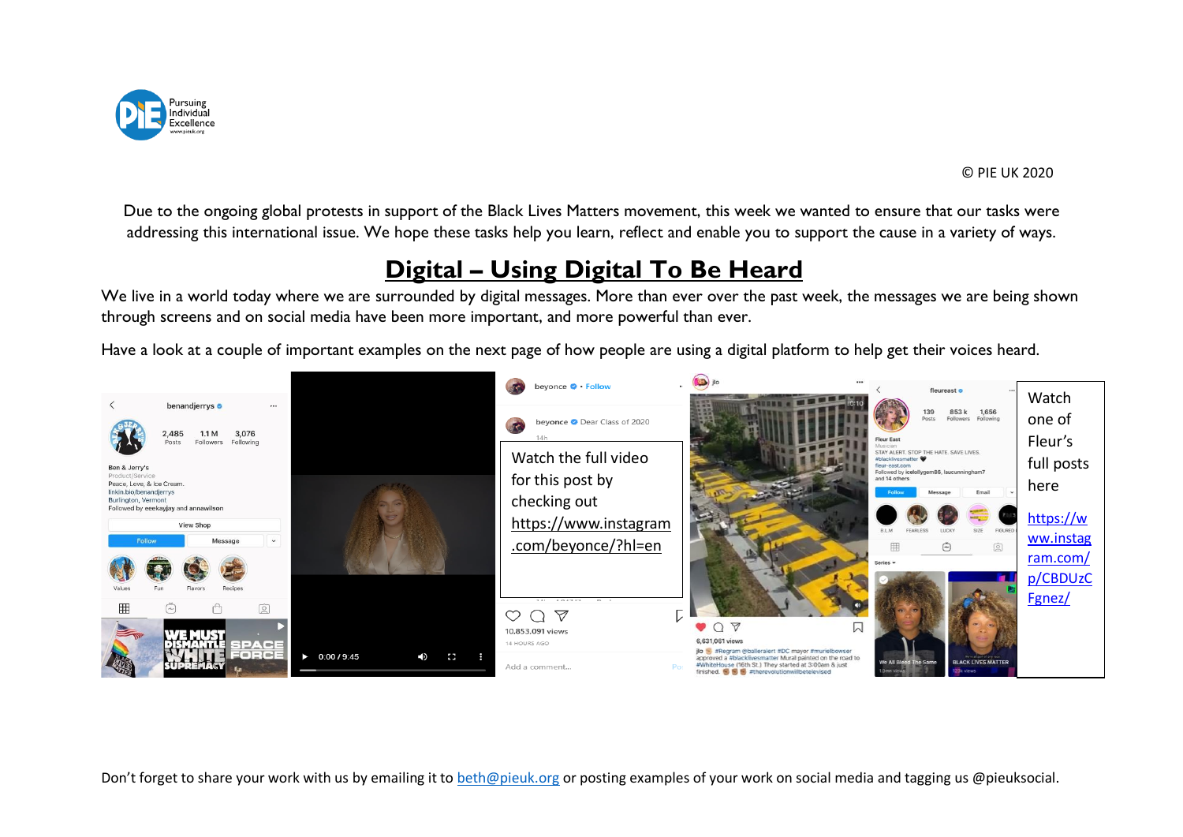

Due to the ongoing global protests in support of the Black Lives Matters movement, this week we wanted to ensure that our tasks were addressing this international issue. We hope these tasks help you learn, reflect and enable you to support the cause in a variety of ways.

## **Digital – Using Digital To Be Heard**

We live in a world today where we are surrounded by digital messages. More than ever over the past week, the messages we are being shown through screens and on social media have been more important, and more powerful than ever.

Have a look at a couple of important examples on the next page of how people are using a digital platform to help get their voices heard.